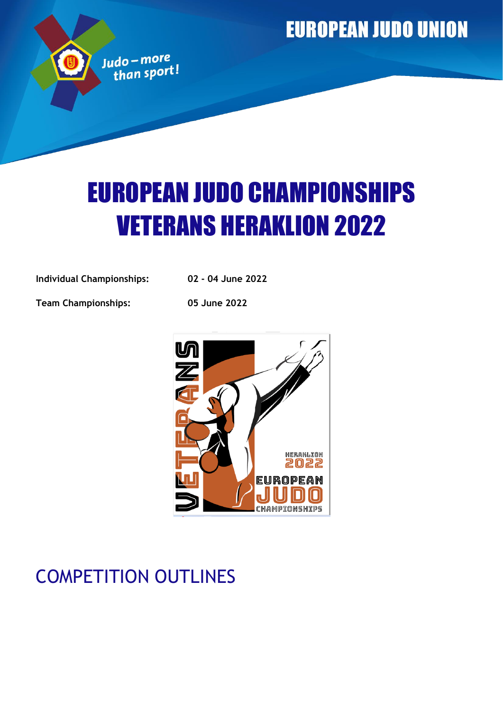**EUROPEAN JUDO UNION** 

# EUROPEAN JUDO CHAMPIONSHIPS VETERANS HERAKLION 2022

**Individual Championships: 02 - 04 June 2022**

Judo – more<br>than sport!

**Team Championships: 05 June 2022**



# COMPETITION OUTLINES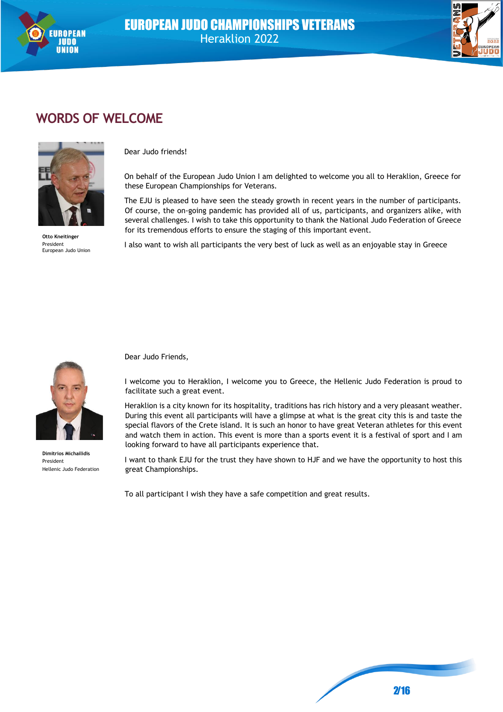



# **WORDS OF WELCOME**



**Otto Kneitinger** President European Judo Union

Dear Judo friends!

On behalf of the European Judo Union I am delighted to welcome you all to Heraklion, Greece for these European Championships for Veterans.

The EJU is pleased to have seen the steady growth in recent years in the number of participants. Of course, the on-going pandemic has provided all of us, participants, and organizers alike, with several challenges. I wish to take this opportunity to thank the National Judo Federation of Greece for its tremendous efforts to ensure the staging of this important event.

I also want to wish all participants the very best of luck as well as an enjoyable stay in Greece



**Dimitrios Michailidis** President Hellenic Judo Federation

Dear Judo Friends,

I welcome you to Heraklion, I welcome you to Greece, the Hellenic Judo Federation is proud to facilitate such a great event.

Heraklion is a city known for its hospitality, traditions has rich history and a very pleasant weather. During this event all participants will have a glimpse at what is the great city this is and taste the special flavors of the Crete island. It is such an honor to have great Veteran athletes for this event and watch them in action. This event is more than a sports event it is a festival of sport and I am looking forward to have all participants experience that.

I want to thank EJU for the trust they have shown to HJF and we have the opportunity to host this great Championships.

To all participant I wish they have a safe competition and great results.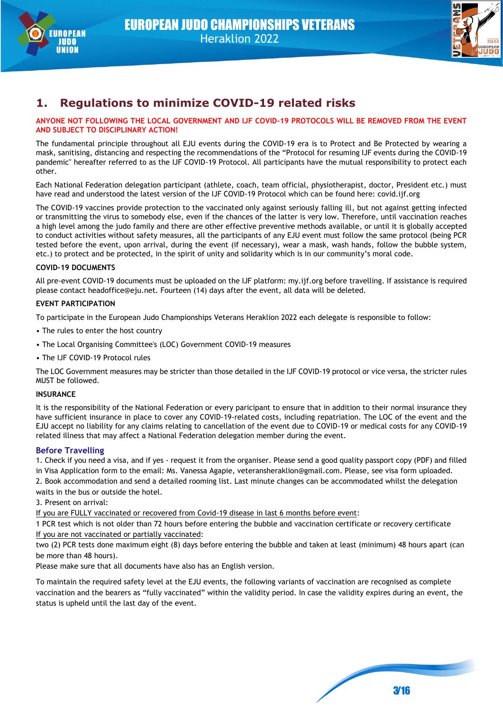



### **1. Regulations to minimize COVID-19 related risks**

#### **ANYONE NOT FOLLOWING THE LOCAL GOVERNMENT AND IJF COVID-19 PROTOCOLS WILL BE REMOVED FROM THE EVENT AND SUBJECT TO DISCIPLINARY ACTION!**

The fundamental principle throughout all EJU events during the COVID-19 era is to Protect and Be Protected by wearing a mask, sanitising, distancing and respecting the recommendations of the "Protocol for resuming IJF events during the COVID-19 pandemic" hereafter referred to as the IJF COVID-19 Protocol. All participants have the mutual responsibility to protect each other.

Each National Federation delegation participant (athlete, coach, team official, physiotherapist, doctor, President etc.) must have read and understood the latest version of the IJF COVID-19 Protocol which can be found here: covid.ijf.org

The COVID-19 vaccines provide protection to the vaccinated only against seriously falling ill, but not against getting infected or transmitting the virus to somebody else, even if the chances of the latter is very low. Therefore, until vaccination reaches a high level among the judo family and there are other effective preventive methods available, or until it is globally accepted to conduct activities without safety measures, all the participants of any EJU event must follow the same protocol (being PCR tested before the event, upon arrival, during the event (if necessary), wear a mask, wash hands, follow the bubble system, etc.) to protect and be protected, in the spirit of unity and solidarity which is in our community's moral code.

#### **COVID-19 DOCUMENTS**

All pre-event COVID-19 documents must be uploaded on the IJF platform: my.ijf.org before travelling. If assistance is required please contact headoffice@eju.net. Fourteen (14) days after the event, all data will be deleted.

#### **EVENT PARTICIPATION**

To participate in the European Judo Championships Veterans Heraklion 2022 each delegate is responsible to follow:

- The rules to enter the host country
- The Local Organising Committee's (LOC) Government COVID-19 measures
- The IJF COVID-19 Protocol rules

The LOC Government measures may be stricter than those detailed in the IJF COVID-19 protocol or vice versa, the stricter rules MUST be followed.

#### **INSURANCE**

It is the responsibility of the National Federation or every paricipant to ensure that in addition to their normal insurance they have sufficient insurance in place to cover any COVID-19-related costs, including repatriation. The LOC of the event and the EJU accept no liability for any claims relating to cancellation of the event due to COVID-19 or medical costs for any COVID-19 related illness that may affect a National Federation delegation member during the event.

#### **Before Travelling**

1. Check if you need a visa, and if yes - request it from the organiser. Please send a good quality passport copy (PDF) and filled in Visa Application form to the email: Ms. Vanessa Agapie, veteransheraklion@gmail.com. Please, see visa form uploaded.

2. Book accommodation and send a detailed rooming list. Last minute changes can be accommodated whilst the delegation waits in the bus or outside the hotel.

3. Present on arrival:

If you are FULLY vaccinated or recovered from Covid-19 disease in last 6 months before event:

1 PCR test which is not older than 72 hours before entering the bubble and vaccination certificate or recovery certificate If you are not vaccinated or partially vaccinated:

two (2) PCR tests done maximum eight (8) days before entering the bubble and taken at least (minimum) 48 hours apart (can be more than 48 hours).

Please make sure that all documents have also has an English version.

To maintain the required safety level at the EJU events, the following variants of vaccination are recognised as complete vaccination and the bearers as "fully vaccinated" within the validity period. In case the validity expires during an event, the status is upheld until the last day of the event.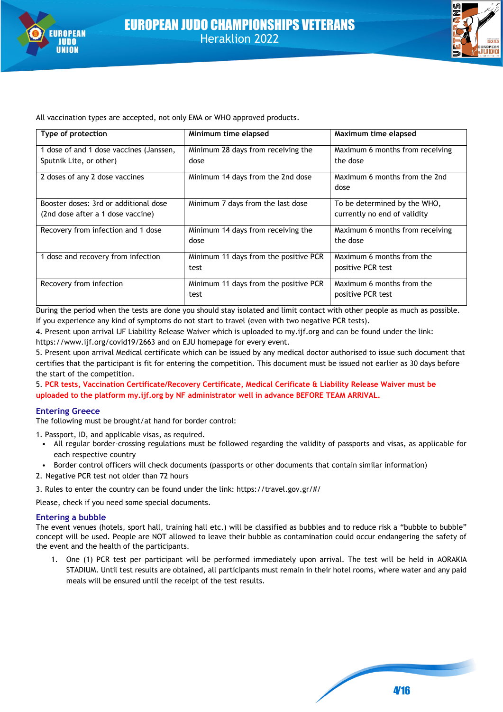



All vaccination types are accepted, not only EMA or WHO approved products.

| Type of protection                      | Minimum time elapsed                  | Maximum time elapsed            |
|-----------------------------------------|---------------------------------------|---------------------------------|
| 1 dose of and 1 dose vaccines (Janssen, | Minimum 28 days from receiving the    | Maximum 6 months from receiving |
| Sputnik Lite, or other)                 | dose                                  | the dose                        |
| 2 doses of any 2 dose vaccines          | Minimum 14 days from the 2nd dose     | Maximum 6 months from the 2nd   |
|                                         |                                       | dose                            |
| Booster doses: 3rd or additional dose   | Minimum 7 days from the last dose     | To be determined by the WHO,    |
| (2nd dose after a 1 dose vaccine)       |                                       | currently no end of validity    |
| Recovery from infection and 1 dose      | Minimum 14 days from receiving the    | Maximum 6 months from receiving |
|                                         | dose                                  | the dose                        |
| 1 dose and recovery from infection      | Minimum 11 days from the positive PCR | Maximum 6 months from the       |
|                                         | test                                  | positive PCR test               |
| Recovery from infection                 | Minimum 11 days from the positive PCR | Maximum 6 months from the       |
|                                         | test                                  | positive PCR test               |

During the period when the tests are done you should stay isolated and limit contact with other people as much as possible. If you experience any kind of symptoms do not start to travel (even with two negative PCR tests).

4. Present upon arrival IJF Liability Release Waiver which is uploaded to my.ijf.org and can be found under the link: https://www.ijf.org/covid19/2663 and on EJU homepage for every event.

5. Present upon arrival Medical certificate which can be issued by any medical doctor authorised to issue such document that certifies that the participant is fit for entering the competition. This document must be issued not earlier as 30 days before the start of the competition.

5. **PCR tests, Vaccination Certificate/Recovery Certificate, Medical Cerificate & Liability Release Waiver must be uploaded to the platform my.ijf.org by NF administrator well in advance BEFORE TEAM ARRIVAL.**

#### **Entering Greece**

The following must be brought/at hand for border control:

1. Passport, ID, and applicable visas, as required.

- All regular border-crossing regulations must be followed regarding the validity of passports and visas, as applicable for each respective country
- Border control officers will check documents (passports or other documents that contain similar information)
- 2. Negative PCR test not older than 72 hours

3. Rules to enter the country can be found under the link: https://travel.gov.gr/#/

Please, check if you need some special documents.

#### **Entering a bubble**

The event venues (hotels, sport hall, training hall etc.) will be classified as bubbles and to reduce risk a "bubble to bubble" concept will be used. People are NOT allowed to leave their bubble as contamination could occur endangering the safety of the event and the health of the participants.

1. One (1) PCR test per participant will be performed immediately upon arrival. The test will be held in AORAKIA STADIUM. Until test results are obtained, all participants must remain in their hotel rooms, where water and any paid meals will be ensured until the receipt of the test results.

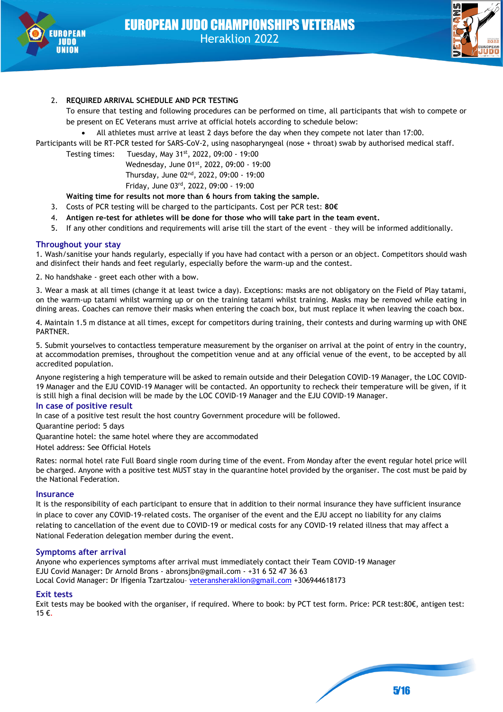



#### 2. **REQUIRED ARRIVAL SCHEDULE AND PCR TESTING**

To ensure that testing and following procedures can be performed on time, all participants that wish to compete or be present on EC Veterans must arrive at official hotels according to schedule below:

• All athletes must arrive at least 2 days before the day when they compete not later than 17:00.

Participants will be RT-PCR tested for SARS-CoV-2, using nasopharyngeal (nose + throat) swab by authorised medical staff.

Testing times: Tuesday, May 31st, 2022, 09:00 - 19:00

Wednesday, June 01st, 2022, 09:00 - 19:00 Thursday, June 02nd, 2022, 09:00 - 19:00 Friday, June 03rd, 2022, 09:00 - 19:00

**Waiting time for results not more than 6 hours from taking the sample.**

- 3. Costs of PCR testing will be charged to the participants. Cost per PCR test: **80€**
- 4. **Antigen re-test for athletes will be done for those who will take part in the team event.**
- 5. If any other conditions and requirements will arise till the start of the event they will be informed additionally.

#### **Throughout your stay**

1. Wash/sanitise your hands regularly, especially if you have had contact with a person or an object. Competitors should wash and disinfect their hands and feet regularly, especially before the warm-up and the contest.

2. No handshake - greet each other with a bow.

3. Wear a mask at all times (change it at least twice a day). Exceptions: masks are not obligatory on the Field of Play tatami, on the warm-up tatami whilst warming up or on the training tatami whilst training. Masks may be removed while eating in dining areas. Coaches can remove their masks when entering the coach box, but must replace it when leaving the coach box.

4. Maintain 1.5 m distance at all times, except for competitors during training, their contests and during warming up with ONE PARTNER.

5. Submit yourselves to contactless temperature measurement by the organiser on arrival at the point of entry in the country, at accommodation premises, throughout the competition venue and at any official venue of the event, to be accepted by all accredited population.

Anyone registering a high temperature will be asked to remain outside and their Delegation COVID-19 Manager, the LOC COVID-19 Manager and the EJU COVID-19 Manager will be contacted. An opportunity to recheck their temperature will be given, if it is still high a final decision will be made by the LOC COVID-19 Manager and the EJU COVID-19 Manager.

#### **In case of positive result**

In case of a positive test result the host country Government procedure will be followed.

Quarantine period: 5 days

Quarantine hotel: the same hotel where they are accommodated

Hotel address: See Official Hotels

Rates: normal hotel rate Full Board single room during time of the event. From Monday after the event regular hotel price will be charged. Anyone with a positive test MUST stay in the quarantine hotel provided by the organiser. The cost must be paid by the National Federation.

#### **Insurance**

It is the responsibility of each participant to ensure that in addition to their normal insurance they have sufficient insurance in place to cover any COVID-19-related costs. The organiser of the event and the EJU accept no liability for any claims relating to cancellation of the event due to COVID-19 or medical costs for any COVID-19 related illness that may affect a National Federation delegation member during the event.

#### **Symptoms after arrival**

Anyone who experiences symptoms after arrival must immediately contact their Team COVID-19 Manager EJU Covid Manager: Dr Arnold Brons - abronsjbn@gmail.com - +31 6 52 47 36 63 Local Covid Manager: Dr Ifigenia Tzartzalou- veteransheraklion@gmail.com +306944618173

#### **Exit tests**

Exit tests may be booked with the organiser, if required. Where to book: by PCT test form. Price: PCR test:80€, antigen test: 15 €.

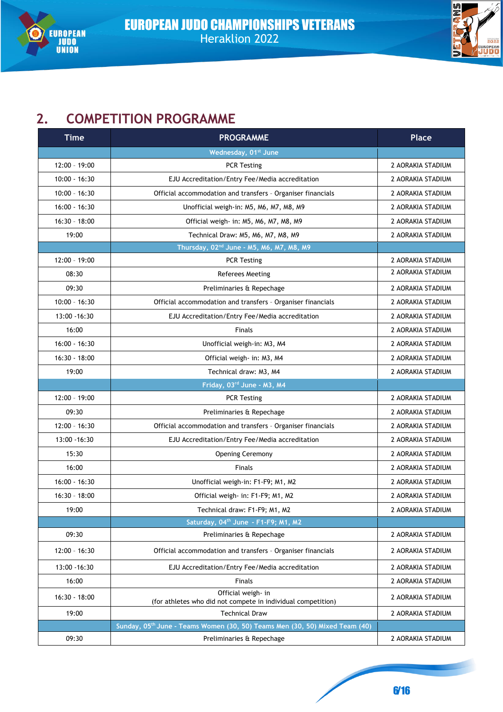



# **2. COMPETITION PROGRAMME**

| <b>Time</b>     | <b>PROGRAMME</b>                                                                        | <b>Place</b>      |
|-----------------|-----------------------------------------------------------------------------------------|-------------------|
|                 | Wednesday, 01st June                                                                    |                   |
| $12:00 - 19:00$ | <b>PCR Testing</b>                                                                      | 2 AORAKIA STADIUM |
| $10:00 - 16:30$ | EJU Accreditation/Entry Fee/Media accreditation                                         | 2 AORAKIA STADIUM |
| $10:00 - 16:30$ | Official accommodation and transfers - Organiser financials                             | 2 AORAKIA STADIUM |
| $16:00 - 16:30$ | Unofficial weigh-in: M5, M6, M7, M8, M9                                                 | 2 AORAKIA STADIUM |
| $16:30 - 18:00$ | Official weigh- in: M5, M6, M7, M8, M9                                                  | 2 AORAKIA STADIUM |
| 19:00           | Technical Draw: M5, M6, M7, M8, M9                                                      | 2 AORAKIA STADIUM |
|                 | Thursday, 02 <sup>nd</sup> June - M5, M6, M7, M8, M9                                    |                   |
| 12:00 - 19:00   | <b>PCR Testing</b>                                                                      | 2 AORAKIA STADIUM |
| 08:30           | <b>Referees Meeting</b>                                                                 | 2 AORAKIA STADIUM |
| 09:30           | Preliminaries & Repechage                                                               | 2 AORAKIA STADIUM |
| $10:00 - 16:30$ | Official accommodation and transfers - Organiser financials                             | 2 AORAKIA STADIUM |
| 13:00 - 16:30   | EJU Accreditation/Entry Fee/Media accreditation                                         | 2 AORAKIA STADIUM |
| 16:00           | <b>Finals</b>                                                                           | 2 AORAKIA STADIUM |
| $16:00 - 16:30$ | Unofficial weigh-in: M3, M4                                                             | 2 AORAKIA STADIUM |
| $16:30 - 18:00$ | Official weigh- in: M3, M4                                                              | 2 AORAKIA STADIUM |
| 19:00           | Technical draw: M3, M4                                                                  | 2 AORAKIA STADIUM |
|                 | Friday, 03rd June - M3, M4                                                              |                   |
| 12:00 - 19:00   | <b>PCR Testing</b>                                                                      | 2 AORAKIA STADIUM |
| 09:30           | Preliminaries & Repechage                                                               | 2 AORAKIA STADIUM |
| $12:00 - 16:30$ | Official accommodation and transfers - Organiser financials                             | 2 AORAKIA STADIUM |
| 13:00 - 16:30   | EJU Accreditation/Entry Fee/Media accreditation                                         | 2 AORAKIA STADIUM |
| 15:30           | <b>Opening Ceremony</b>                                                                 | 2 AORAKIA STADIUM |
| 16:00           | <b>Finals</b>                                                                           | 2 AORAKIA STADIUM |
| 16:00 - 16:30   | Unofficial weigh-in: F1-F9; M1, M2                                                      | 2 AORAKIA STADIUM |
| $16:30 - 18:00$ | Official weigh- in: F1-F9; M1, M2                                                       | 2 AORAKIA STADIUM |
| 19:00           | Technical draw: F1-F9; M1, M2                                                           | 2 AORAKIA STADIUM |
|                 | Saturday, 04th June - F1-F9; M1, M2                                                     |                   |
| 09:30           | Preliminaries & Repechage                                                               | 2 AORAKIA STADIUM |
| $12:00 - 16:30$ | Official accommodation and transfers - Organiser financials                             | 2 AORAKIA STADIUM |
| 13:00 - 16:30   | EJU Accreditation/Entry Fee/Media accreditation                                         | 2 AORAKIA STADIUM |
| 16:00           | <b>Finals</b>                                                                           | 2 AORAKIA STADIUM |
| 16:30 - 18:00   | Official weigh- in<br>(for athletes who did not compete in individual competition)      | 2 AORAKIA STADIUM |
| 19:00           | <b>Technical Draw</b>                                                                   | 2 AORAKIA STADIUM |
|                 | Sunday, 05 <sup>th</sup> June - Teams Women (30, 50) Teams Men (30, 50) Mixed Team (40) |                   |
| 09:30           | Preliminaries & Repechage                                                               | 2 AORAKIA STADIUM |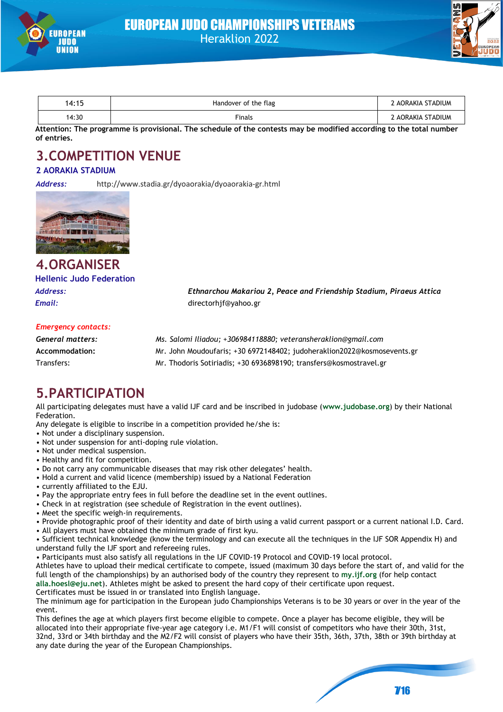



| 14:15 | Handover of the flag | 2 AORAKIA STADIUM |
|-------|----------------------|-------------------|
| 14:30 | Finals               | : AORAKIA STADIUM |

**Attention: The programme is provisional. The schedule of the contests may be modified according to the total number of entries.** 

# **3.COMPETITION VENUE**

#### **2 AORAKIA STADIUM**

*Address:* http://www.stadia.gr/dyoaorakia/dyoaorakia-gr.html



# **4.ORGANISER Hellenic Judo Federation**

*Address: Ethnarchou Makariou 2, Peace and Friendship Stadium, Piraeus Attica Email:* directorhjf@yahoo.gr

#### *Emergency contacts:*

| General matters: | Ms. Salomi Iliadou; +306984118880; veteransheraklion@gmail.com          |
|------------------|-------------------------------------------------------------------------|
| Accommodation:   | Mr. John Moudoufaris; +30 6972148402; judoheraklion2022@kosmosevents.gr |
| Transfers:       | Mr. Thodoris Sotiriadis; +30 6936898190; transfers@kosmostravel.gr      |

# **5.PARTICIPATION**

All participating delegates must have a valid IJF card and be inscribed in judobase (**www.judobase.org**) by their National Federation.

Any delegate is eligible to inscribe in a competition provided he/she is:

- Not under a disciplinary suspension.
- Not under suspension for anti-doping rule violation.
- Not under medical suspension.
- Healthy and fit for competition.
- Do not carry any communicable diseases that may risk other delegates' health.
- Hold a current and valid licence (membership) issued by a National Federation
- currently affiliated to the EJU.
- Pay the appropriate entry fees in full before the deadline set in the event outlines.
- Check in at registration (see schedule of Registration in the event outlines).
- Meet the specific weigh-in requirements.

• Provide photographic proof of their identity and date of birth using a valid current passport or a current national I.D. Card. • All players must have obtained the minimum grade of first kyu.

• Sufficient technical knowledge (know the terminology and can execute all the techniques in the IJF SOR Appendix H) and understand fully the IJF sport and refereeing rules.

• Participants must also satisfy all regulations in the IJF COVID-19 Protocol and COVID-19 local protocol.

Athletes have to upload their medical certificate to compete, issued (maximum 30 days before the start of, and valid for the full length of the championships) by an authorised body of the country they represent to **my.ijf.org** (for help contact **alla.hoesl@eju.net**). Athletes might be asked to present the hard copy of their certificate upon request.

Certificates must be issued in or translated into English language.

The minimum age for participation in the European judo Championships Veterans is to be 30 years or over in the year of the event.

This defines the age at which players first become eligible to compete. Once a player has become eligible, they will be allocated into their appropriate five-year age category i.e. M1/F1 will consist of competitors who have their 30th, 31st, 32nd, 33rd or 34th birthday and the M2/F2 will consist of players who have their 35th, 36th, 37th, 38th or 39th birthday at any date during the year of the European Championships.

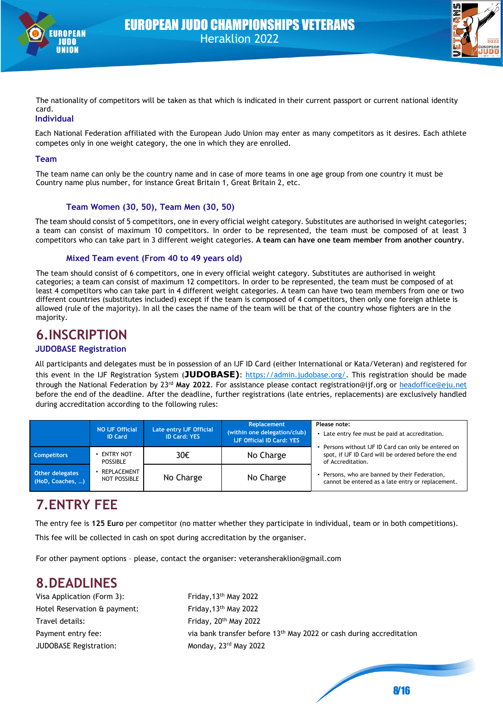



The nationality of competitors will be taken as that which is indicated in their current passport or current national identity card.

#### **Individual**

Each National Federation affiliated with the European Judo Union may enter as many competitors as it desires. Each athlete competes only in one weight category, the one in which they are enrolled.

#### **Team**

The team name can only be the country name and in case of more teams in one age group from one country it must be Country name plus number, for instance Great Britain 1, Great Britain 2, etc.

#### **Team Women (30, 50), Team Men (30, 50)**

The team should consist of 5 competitors, one in every official weight category. Substitutes are authorised in weight categories; a team can consist of maximum 10 competitors. In order to be represented, the team must be composed of at least 3 competitors who can take part in 3 different weight categories. **A team can have one team member from another country**.

#### **Mixed Team event (From 40 to 49 years old)**

The team should consist of 6 competitors, one in every official weight category. Substitutes are authorised in weight categories; a team can consist of maximum 12 competitors. In order to be represented, the team must be composed of at least 4 competitors who can take part in 4 different weight categories. A team can have two team members from one or two different countries (substitutes included) except if the team is composed of 4 competitors, then only one foreign athlete is allowed (rule of the majority). In all the cases the name of the team will be that of the country whose fighters are in the majority.

### **6.INSCRIPTION**

#### **JUDOBASE Registration**

All participants and delegates must be in possession of an IJF ID Card (either International or Kata/Veteran) and registered for this event in the IJF Registration System (**JUDOBASE)**: [https://admin.judobase.org/.](https://admin.judobase.org/) This registration should be made through the National Federation by 23rd **May 2022**. For assistance please contact registration@ijf.org or [headoffice@eju.net](mailto:headoffice@eju.net) before the end of the deadline. After the deadline, further registrations (late entries, replacements) are exclusively handled during accreditation according to the following rules:

|                                            | <b>NO IJF Official</b><br><b>ID Card</b> | Late entry IJF Official<br><b>ID Card: YES</b> | Replacement<br>(within one delegation/club)<br><b>IJF Official ID Card: YES</b> | Please note:<br>Late entry fee must be paid at accreditation.                                                                  |  |  |
|--------------------------------------------|------------------------------------------|------------------------------------------------|---------------------------------------------------------------------------------|--------------------------------------------------------------------------------------------------------------------------------|--|--|
| <b>Competitors</b>                         | ENTRY NOT<br><b>POSSIBLE</b>             | 30€                                            | No Charge                                                                       | Persons without IJF ID Card can only be entered on<br>spot, if IJF ID Card will be ordered before the end<br>of Accreditation. |  |  |
| <b>Other delegates</b><br>(HoD, Coaches, ) | REPLACEMENT<br>NOT POSSIBLE              | No Charge                                      | No Charge                                                                       | Persons, who are banned by their Federation,<br>cannot be entered as a late entry or replacement.                              |  |  |

# **7.ENTRY FEE**

The entry fee is **125 Euro** per competitor (no matter whether they participate in individual, team or in both competitions). This fee will be collected in cash on spot during accreditation by the organiser.

For other payment options – please, contact the organiser: veteransheraklion@gmail.com

# **8.DEADLINES**

Visa Application (Form 3): Friday, 13<sup>th</sup> May 2022 Hotel Reservation & payment: Friday, 13<sup>th</sup> May 2022 Travel details: Friday, 20<sup>th</sup> May 2022 JUDOBASE Registration: Monday, 23rd May 2022

Payment entry fee:  $\frac{1}{2}$  via bank transfer before 13<sup>th</sup> May 2022 or cash during accreditation

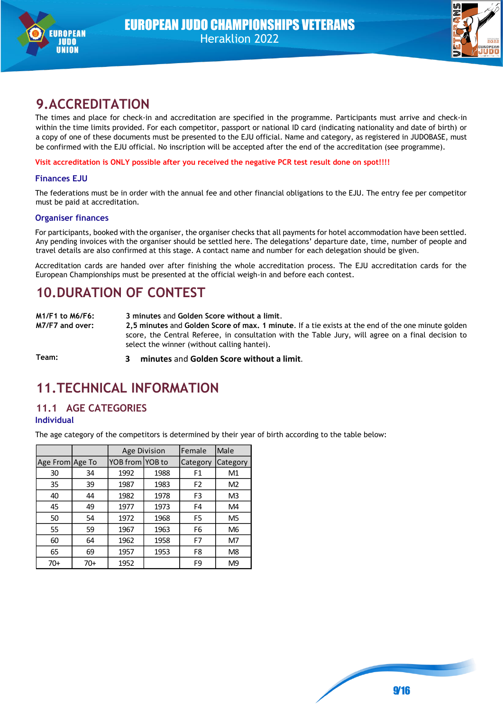



# **9.ACCREDITATION**

The times and place for check-in and accreditation are specified in the programme. Participants must arrive and check-in within the time limits provided. For each competitor, passport or national ID card (indicating nationality and date of birth) or a copy of one of these documents must be presented to the EJU official. Name and category, as registered in JUDOBASE, must be confirmed with the EJU official. No inscription will be accepted after the end of the accreditation (see programme).

**Visit accreditation is ONLY possible after you received the negative PCR test result done on spot!!!!**

#### **Finances EJU**

The federations must be in order with the annual fee and other financial obligations to the EJU. The entry fee per competitor must be paid at accreditation.

#### **Organiser finances**

For participants, booked with the organiser, the organiser checks that all payments for hotel accommodation have been settled. Any pending invoices with the organiser should be settled here. The delegations' departure date, time, number of people and travel details are also confirmed at this stage. A contact name and number for each delegation should be given.

Accreditation cards are handed over after finishing the whole accreditation process. The EJU accreditation cards for the European Championships must be presented at the official weigh-in and before each contest.

# **10.DURATION OF CONTEST**

**M1/F1 to M6/F6: 3 minutes** and **Golden Score without a limit**. **M7/F7 and over: 2,5 minutes** and **Golden Score of max. 1 minute**. If a tie exists at the end of the one minute golden score, the Central Referee, in consultation with the Table Jury, will agree on a final decision to select the winner (without calling hantei).

**Team: 3 minutes** and **Golden Score without a limit**.

# **11.TECHNICAL INFORMATION**

#### **11.1 AGE CATEGORIES Individual**

The age category of the competitors is determined by their year of birth according to the table below:

|                 |     |                 | Age Division | Female         | Male           |
|-----------------|-----|-----------------|--------------|----------------|----------------|
| Age From Age To |     | YOB from YOB to |              | Category       | Category       |
| 30              | 34  |                 | 1988         | F1             | M1             |
| 35              | 39  | 1987            | 1983         | F <sub>2</sub> | M <sub>2</sub> |
| 40              | 44  | 1982            | 1978         | F3             | M <sub>3</sub> |
| 45              | 49  | 1977            | 1973         | F4             | M4             |
| 50              | 54  | 1972            | 1968         | F <sub>5</sub> | M <sub>5</sub> |
| 55              | 59  | 1963<br>1967    |              | F6             | M6             |
| 60              | 64  | 1958<br>1962    |              | F7             | M7             |
| 65              | 69  | 1953<br>1957    |              | F8             | M <sub>8</sub> |
| 70+             | 70+ | 1952            |              | F9             | M9             |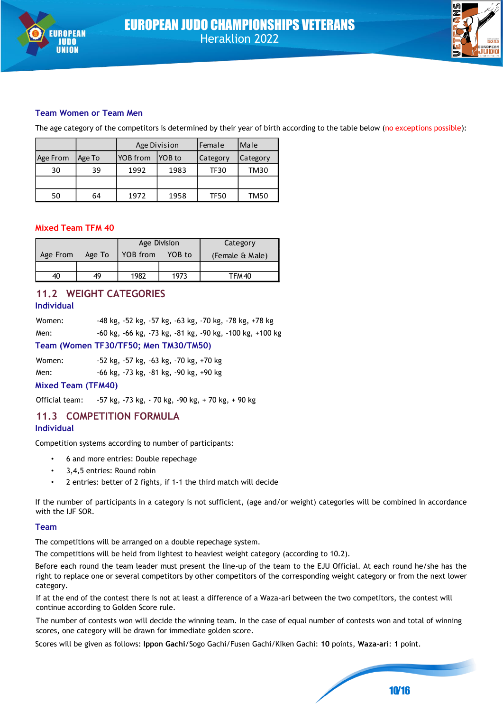



#### **Team Women or Team Men**

The age category of the competitors is determined by their year of birth according to the table below (no exceptions possible):

|          |        | Age Division               |      | Female      | Male     |  |
|----------|--------|----------------------------|------|-------------|----------|--|
| Age From | Age To | <b>YOB</b> from<br>IYOB to |      | Category    | Category |  |
| 30       | 39     | 1992<br>1983               |      | <b>TF30</b> | TM30     |  |
|          |        |                            |      |             |          |  |
| 50       | 64     | 1972                       | 1958 | <b>TF50</b> | TM50     |  |

#### **Mixed Team TFM 40**

|          |        |                    | Age Division | Category |  |                 |
|----------|--------|--------------------|--------------|----------|--|-----------------|
| Age From | Age To | YOB to<br>YOB from |              |          |  | (Female & Male) |
|          |        |                    |              |          |  |                 |
| 40       | 49     | 1982<br>1973       |              | TFM 40   |  |                 |

#### **11.2 WEIGHT CATEGORIES Individual**

| Women: |  |  | -48 kg, -52 kg, -57 kg, -63 kg, -70 kg, -78 kg, +78 kg   |
|--------|--|--|----------------------------------------------------------|
| Men:   |  |  | -60 kg, -66 kg, -73 kg, -81 kg, -90 kg, -100 kg, +100 kg |

#### **Team (Women TF30/TF50; Men TM30/TM50)**

Women: -52 kg, -57 kg, -63 kg, -70 kg, +70 kg

Men: -66 kg, -73 kg, -81 kg, -90 kg, +90 kg

#### **Mixed Team (TFM40)**

Official team: -57 kg, -73 kg, - 70 kg, -90 kg, + 70 kg, + 90 kg

#### **11.3 COMPETITION FORMULA**

#### **Individual**

Competition systems according to number of participants:

- 6 and more entries: Double repechage
- 3,4,5 entries: Round robin
- 2 entries: better of 2 fights, if 1-1 the third match will decide

If the number of participants in a category is not sufficient, (age and/or weight) categories will be combined in accordance with the IJF SOR.

#### **Team**

The competitions will be arranged on a double repechage system.

The competitions will be held from lightest to heaviest weight category (according to 10.2).

Before each round the team leader must present the line-up of the team to the EJU Official. At each round he/she has the right to replace one or several competitors by other competitors of the corresponding weight category or from the next lower category.

If at the end of the contest there is not at least a difference of a Waza-ari between the two competitors, the contest will continue according to Golden Score rule.

The number of contests won will decide the winning team. In the case of equal number of contests won and total of winning scores, one category will be drawn for immediate golden score.

Scores will be given as follows: **Ippon Gachi**/Sogo Gachi/Fusen Gachi/Kiken Gachi: **10** points, **Waza-ari**: **1** point.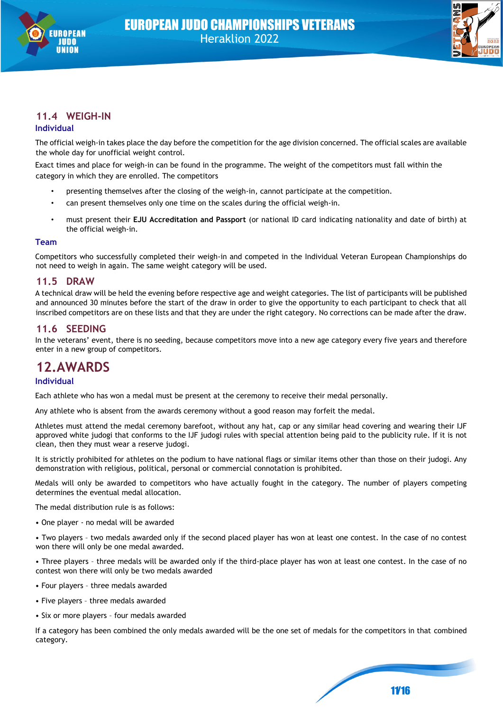



# **11.4 WEIGH-IN**

#### **Individual**

The official weigh-in takes place the day before the competition for the age division concerned. The official scales are available the whole day for unofficial weight control.

Exact times and place for weigh-in can be found in the programme. The weight of the competitors must fall within the category in which they are enrolled. The competitors

- presenting themselves after the closing of the weigh-in, cannot participate at the competition.
- can present themselves only one time on the scales during the official weigh-in.
- must present their **EJU Accreditation and Passport** (or national ID card indicating nationality and date of birth) at the official weigh-in.

#### **Team**

Competitors who successfully completed their weigh-in and competed in the Individual Veteran European Championships do not need to weigh in again. The same weight category will be used.

#### **11.5 DRAW**

A technical draw will be held the evening before respective age and weight categories. The list of participants will be published and announced 30 minutes before the start of the draw in order to give the opportunity to each participant to check that all inscribed competitors are on these lists and that they are under the right category. No corrections can be made after the draw.

#### **11.6 SEEDING**

In the veterans' event, there is no seeding, because competitors move into a new age category every five years and therefore enter in a new group of competitors.

# **12.AWARDS**

#### **Individual**

Each athlete who has won a medal must be present at the ceremony to receive their medal personally.

Any athlete who is absent from the awards ceremony without a good reason may forfeit the medal.

Athletes must attend the medal ceremony barefoot, without any hat, cap or any similar head covering and wearing their IJF approved white judogi that conforms to the IJF judogi rules with special attention being paid to the publicity rule. If it is not clean, then they must wear a reserve judogi.

It is strictly prohibited for athletes on the podium to have national flags or similar items other than those on their judogi. Any demonstration with religious, political, personal or commercial connotation is prohibited.

Medals will only be awarded to competitors who have actually fought in the category. The number of players competing determines the eventual medal allocation.

The medal distribution rule is as follows:

• One player - no medal will be awarded

• Two players – two medals awarded only if the second placed player has won at least one contest. In the case of no contest won there will only be one medal awarded.

• Three players – three medals will be awarded only if the third-place player has won at least one contest. In the case of no contest won there will only be two medals awarded

- Four players three medals awarded
- Five players three medals awarded
- Six or more players four medals awarded

If a category has been combined the only medals awarded will be the one set of medals for the competitors in that combined category.

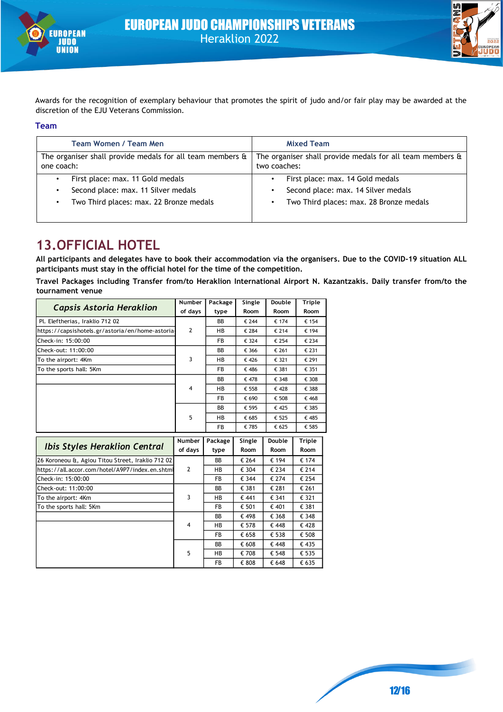



Awards for the recognition of exemplary behaviour that promotes the spirit of judo and/or fair play may be awarded at the discretion of the EJU Veterans Commission.**105** 

#### **Team**

| Team Women / Team Men                                                           | <b>Mixed Team</b>                                                         |
|---------------------------------------------------------------------------------|---------------------------------------------------------------------------|
| The organiser shall provide medals for all team members $\hat{a}$<br>one coach: | The organiser shall provide medals for all team members &<br>two coaches: |
| First place: max. 11 Gold medals<br>Second place: max. 11 Silver medals         | First place: max. 14 Gold medals<br>Second place: max. 14 Silver medals   |
| Two Third places: max. 22 Bronze medals                                         | Two Third places: max. 28 Bronze medals                                   |

# **13.OFFICIAL HOTEL**

**All participants and delegates have to book their accommodation via the organisers. Due to the COVID-19 situation ALL participants must stay in the official hotel for the time of the competition.** 

**Travel Packages including Transfer from/to Heraklion International Airport N. Kazantzakis. Daily transfer from/to the tournament venue**

|                                                   | Number         | Package   | Single | Double | Triple        |
|---------------------------------------------------|----------------|-----------|--------|--------|---------------|
| <b>Capsis Astoria Heraklion</b>                   | of days        | type      | Room   | Room   | Room          |
| Pl. Eleftherias, Iraklio 712 02                   |                | BB        | € 244  | € 174  | € 154         |
| https://capsishotels.gr/astoria/en/home-astoria-  | $\overline{2}$ | HB        | € 284  | € 214  | € 194         |
| Check-in: 15:00:00                                |                | <b>FB</b> | € 324  | € 254  | € 234         |
| Check-out: 11:00:00                               |                | BB        | € 366  | € 261  | € 231         |
| To the airport: 4Km                               | 3              | HB        | € 426  | € 321  | € 291         |
| To the sports hall: 5Km                           |                | FB        | € 486  | € 381  | € 351         |
|                                                   |                | BB        | € 478  | € 348  | € 308         |
|                                                   | 4              | HB        | € 558  | €428   | € 388         |
|                                                   |                | FB        | € 690  | € 508  | € 468         |
|                                                   |                | BB        | € 595  | €425   | € 385         |
|                                                   | 5              | HB        | € 685  | € 525  | € 485         |
|                                                   |                | FB        | € 785  | € 625  | € 585         |
|                                                   |                |           |        |        |               |
|                                                   | Number         | Package   | Single | Double | <b>Triple</b> |
| <b>Ibis Styles Heraklion Central</b>              | of days        | type      | Room   | Room   | Room          |
| 26 Koroneou &, Agiou Titou Street, Iraklio 712 02 |                | <b>BB</b> | € 264  | € 194  | € 174         |
| https://all.accor.com/hotel/A9P7/index.en.shtml   | $\overline{2}$ | HB        | € 304  | € 234  | € 214         |
| Check-in: 15:00:00                                |                | <b>FB</b> | € 344  | € 274  | € 254         |
| Check-out: 11:00:00                               |                | BB        | € 381  | € 281  | € 261         |
| To the airport: 4Km                               | 3              | <b>HB</b> | € 441  | € 341  | € 321         |
| To the sports hall: 5Km                           |                | <b>FB</b> | € 501  | € 401  | € 381         |
|                                                   |                | BB        | € 498  | € 368  | € 348         |
|                                                   | 4              | <b>HB</b> | € 578  | € 448  | €428          |
|                                                   |                | <b>FB</b> | € 658  | € 538  | € 508         |
|                                                   |                | <b>BB</b> | € 608  | € 448  | € 435         |
|                                                   | 5              | HB        | € 708  | € 548  | € 535         |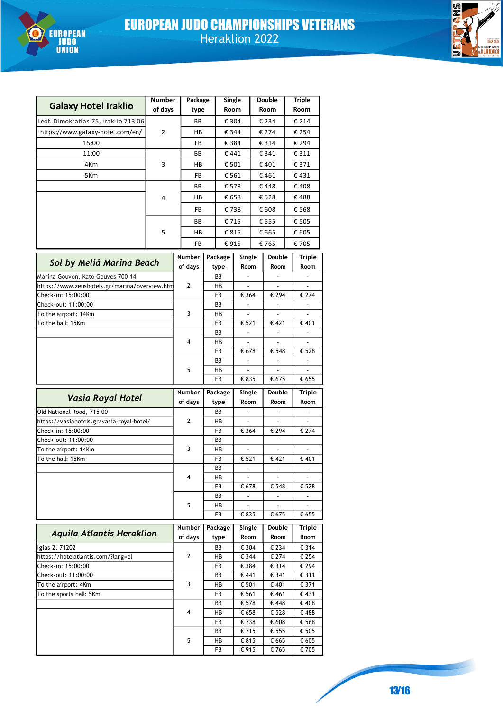



| <b>Galaxy Hotel Iraklio</b>                          | Number<br>of days | Package<br>type |            | <b>Single</b><br>Room             |  | <b>Double</b><br>Room | <b>Triple</b><br>Room    |
|------------------------------------------------------|-------------------|-----------------|------------|-----------------------------------|--|-----------------------|--------------------------|
| Leof. Dimokratias 75, Iraklio 713 06                 |                   | BВ              |            | € 304                             |  | € 234                 | € 214                    |
| https://www.galaxy-hotel.com/en/                     | 2                 | HВ              |            | € 344                             |  | € 274                 | € 254                    |
| 15:00                                                |                   | FB              |            | € 384                             |  | € 314                 | € 294                    |
| 11:00                                                |                   | BВ              |            | €441                              |  | € 341                 | € 311                    |
| 4Km                                                  | 3                 | HВ              |            | € 501                             |  | € 401                 | € 371                    |
| 5Km                                                  |                   | FB              |            | € 561                             |  | € 461                 | € 431                    |
|                                                      |                   | BВ              |            | € 578                             |  | €448                  | €408                     |
|                                                      | 4                 | HВ              |            | € 658                             |  | €528                  | €488                     |
|                                                      |                   | FB              |            | €738                              |  | € 608                 | € 568                    |
|                                                      |                   | BВ              |            | €715                              |  | € 555                 | € 505                    |
|                                                      | 5                 | HВ              |            | € 815                             |  | € 665                 | € 605                    |
|                                                      |                   | FB              |            | €915                              |  | € 765                 | € 705                    |
|                                                      |                   |                 |            |                                   |  |                       |                          |
| Sol by Meliá Marina Beach                            |                   | Number          | Package    | Single                            |  | Double                | Triple                   |
| Marina Gouvon, Kato Gouves 700 14                    |                   | of days         | type<br>BB | Room                              |  | Room                  | Room                     |
| https://www.zeushotels.gr/marina/overview.htm        |                   | 2               | HB         |                                   |  |                       |                          |
| Check-in: 15:00:00                                   |                   |                 | FB         | € 364                             |  | € 294                 | € 274                    |
| Check-out: 11:00:00                                  |                   |                 | ВB         | $\overline{\phantom{a}}$          |  | $\blacksquare$        | $\overline{\phantom{a}}$ |
| To the airport: 14Km                                 |                   | 3               | HВ         | $\overline{\phantom{a}}$          |  |                       |                          |
| To the hall: 15Km                                    |                   |                 | FB         | € 521                             |  | € 421                 | € 401                    |
|                                                      |                   |                 | ВB         | $\overline{\phantom{a}}$          |  |                       |                          |
|                                                      |                   | 4               | HB<br>FB   | € 678                             |  | € 548                 | € 528                    |
|                                                      |                   |                 | ВB         |                                   |  |                       |                          |
|                                                      |                   | 5               | НB         | $\overline{\phantom{a}}$          |  |                       |                          |
|                                                      |                   |                 | FB         | € 835                             |  | € 675                 | € 655                    |
|                                                      |                   | Number          | Package    | Single                            |  | Double                | Triple                   |
| <b>Vasia Royal Hotel</b>                             |                   | of days         | type       | Room                              |  | Room                  | Room                     |
| Old National Road, 715 00                            |                   |                 | ВB         |                                   |  |                       |                          |
| https://vasiahotels.gr/vasia-royal-hotel/            |                   | 2               | НB         | $\blacksquare$                    |  | L.                    | $\overline{a}$           |
| Check-in: 15:00:00                                   |                   |                 | FB         | € 364                             |  | € 294                 | € 274                    |
| Check-out: 11:00:00                                  |                   | 3               | BB         |                                   |  |                       |                          |
| To the airport: 14Km<br>To the hall: 15Km            |                   |                 | НB<br>FB   | $\overline{\phantom{a}}$<br>€ 521 |  | € 421                 | € 401                    |
|                                                      |                   |                 | ВB         |                                   |  |                       |                          |
|                                                      |                   | 4               | НB         |                                   |  |                       |                          |
|                                                      |                   |                 | FB         | € 678                             |  | € 548                 | € 528                    |
|                                                      |                   |                 | ВB         | $\overline{\phantom{a}}$          |  |                       |                          |
|                                                      |                   | 5               | HВ         |                                   |  |                       |                          |
|                                                      |                   |                 | FB         | € 835                             |  | € 675                 | € 655                    |
| <b>Aquila Atlantis Heraklion</b>                     |                   | Number          | Package    | Single                            |  | Double                | Triple                   |
|                                                      |                   | of days         | type       | Room                              |  | Room                  | Room                     |
| Igias 2, 71202<br>https://hotelatlantis.com/?lang=el |                   | 2               | BB<br>HB   | € 304<br>€ 344                    |  | € 234<br>€ 274        | € 314<br>€ 254           |
| Check-in: 15:00:00                                   |                   |                 | FB         | € 384                             |  | € 314                 | € 294                    |
| Check-out: 11:00:00                                  |                   |                 | ВB         | € 441                             |  | € 341                 | € 311                    |
| To the airport: 4Km                                  |                   | 3               | HB         | € 501                             |  | € 401                 | € 371                    |
| To the sports hall: 5Km                              |                   |                 | FB         | € 561                             |  | € 461                 | € 431                    |
|                                                      |                   |                 | ВB         | € 578                             |  | € 448                 | € 408                    |
|                                                      |                   | 4               | HВ         | € 658                             |  | € 528                 | €488                     |
|                                                      |                   |                 | FB<br>ВB   | €738<br>€ 715                     |  | € 608<br>€ 555        | € 568<br>€ 505           |
|                                                      |                   | 5               | НB         | € 815                             |  | € 665                 | € 605                    |
|                                                      |                   |                 | FB         | € 915                             |  | € 765                 | € 705                    |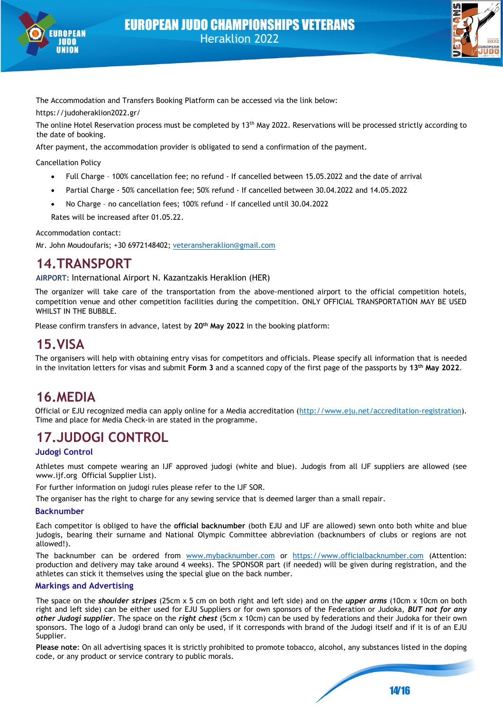



The Accommodation and Transfers Booking Platform can be accessed via the link below:

https://judoheraklion2022.gr/

The online Hotel Reservation process must be completed by 13<sup>th</sup> May 2022. Reservations will be processed strictly according to the date of booking.

After payment, the accommodation provider is obligated to send a confirmation of the payment.

Cancellation Policy

- Full Charge 100% cancellation fee; no refund If cancelled between 15.05.2022 and the date of arrival
- Partial Charge 50% cancellation fee; 50% refund If cancelled between 30.04.2022 and 14.05.2022
- No Charge no cancellation fees; 100% refund If cancelled until 30.04.2022

Rates will be increased after 01.05.22.

Accommodation contact:

Mr. John Moudoufaris; +30 6972148402; [veteransheraklion@gmail.com](mailto:veteransheraklion@gmail.com)

# **14.TRANSPORT**

**AIRPORT:** International Airport N. Kazantzakis Heraklion (HER)

The organizer will take care of the transportation from the above-mentioned airport to the official competition hotels, competition venue and other competition facilities during the competition. ONLY OFFICIAL TRANSPORTATION MAY BE USED WHILST IN THE BUBBLE.

Please confirm transfers in advance, latest by **20th May 2022** in the booking platform:

# **15.VISA**

The organisers will help with obtaining entry visas for competitors and officials. Please specify all information that is needed in the invitation letters for visas and submit **Form 3** and a scanned copy of the first page of the passports by **13 th May 2022**.

# **16.MEDIA**

Official or EJU recognized media can apply online for a Media accreditation [\(http://www.eju.net/accreditation-registration\).](http://www.eju.net/accreditation-registration) Time and place for Media Check-in are stated in the programme.

# **17.JUDOGI CONTROL**

#### **Judogi Control**

Athletes must compete wearing an IJF approved judogi (white and blue). Judogis from all IJF suppliers are allowed (see www.ijf.org Official Supplier List).

For further information on judogi rules please refer to the IJF SOR.

The organiser has the right to charge for any sewing service that is deemed larger than a small repair.

#### **Backnumber**

Each competitor is obliged to have the **official backnumber** (both EJU and IJF are allowed) sewn onto both white and blue judogis, bearing their surname and National Olympic Committee abbreviation (backnumbers of clubs or regions are not allowed!).

The backnumber can be ordered from [www.mybacknumber.com](http://www.mybacknumber.com/) or [https://www.officialbacknumber.com](https://www.officialbacknumber.com/)</u> (Attention: production and delivery may take around 4 weeks). The SPONSOR part (if needed) will be given during registration, and the athletes can stick it themselves using the special glue on the back number.

#### **Markings and Advertising**

The space on the *shoulder stripes* (25cm x 5 cm on both right and left side) and on the *upper arms* (10cm x 10cm on both right and left side) can be either used for EJU Suppliers or for own sponsors of the Federation or Judoka, *BUT not for any other Judogi supplier*. The space on the *right chest* (5cm x 10cm) can be used by federations and their Judoka for their own sponsors. The logo of a Judogi brand can only be used, if it corresponds with brand of the Judogi itself and if it is of an EJU Supplier.

**Please note**: On all advertising spaces it is strictly prohibited to promote tobacco, alcohol, any substances listed in the doping code, or any product or service contrary to public morals.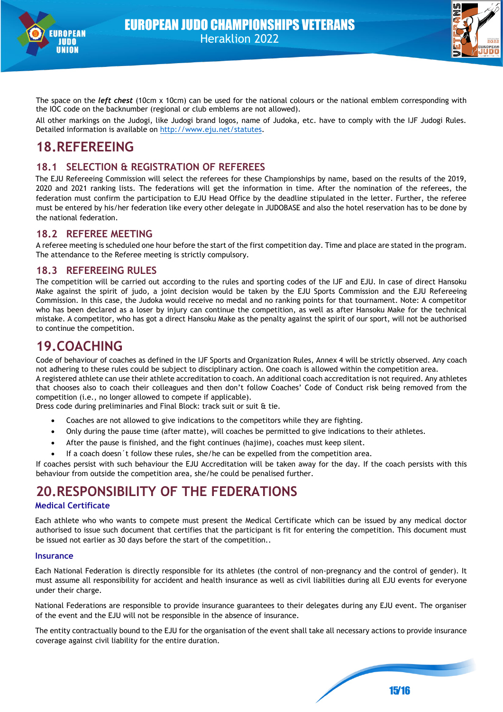



The space on the *left chest* (10cm x 10cm) can be used for the national colours or the national emblem corresponding with the IOC code on the backnumber (regional or club emblems are not allowed).

All other markings on the Judogi, like Judogi brand logos, name of Judoka, etc. have to comply with the IJF Judogi Rules. Detailed information is available on [http://www.eju.net/statutes.](http://www.eju.net/statutes)

# **18.REFEREEING**

#### **18.1 SELECTION & REGISTRATION OF REFEREES**

The EJU Refereeing Commission will select the referees for these Championships by name, based on the results of the 2019, 2020 and 2021 ranking lists. The federations will get the information in time. After the nomination of the referees, the federation must confirm the participation to EJU Head Office by the deadline stipulated in the letter. Further, the referee must be entered by his/her federation like every other delegate in JUDOBASE and also the hotel reservation has to be done by the national federation.

#### **18.2 REFEREE MEETING**

A referee meeting is scheduled one hour before the start of the first competition day. Time and place are stated in the program. The attendance to the Referee meeting is strictly compulsory.

#### **18.3 REFEREEING RULES**

The competition will be carried out according to the rules and sporting codes of the IJF and EJU. In case of direct Hansoku Make against the spirit of judo, a joint decision would be taken by the EJU Sports Commission and the EJU Refereeing Commission. In this case, the Judoka would receive no medal and no ranking points for that tournament. Note: A competitor who has been declared as a loser by injury can continue the competition, as well as after Hansoku Make for the technical mistake. A competitor, who has got a direct Hansoku Make as the penalty against the spirit of our sport, will not be authorised to continue the competition.

# **19.COACHING**

Code of behaviour of coaches as defined in the IJF Sports and Organization Rules, Annex 4 will be strictly observed. Any coach not adhering to these rules could be subject to disciplinary action. One coach is allowed within the competition area.

A registered athlete can use their athlete accreditation to coach. An additional coach accreditation is not required. Any athletes that chooses also to coach their colleagues and then don't follow Coaches' Code of Conduct risk being removed from the competition (i.e., no longer allowed to compete if applicable).

Dress code during preliminaries and Final Block: track suit or suit & tie.

- Coaches are not allowed to give indications to the competitors while they are fighting.
- Only during the pause time (after matte), will coaches be permitted to give indications to their athletes.
- After the pause is finished, and the fight continues (hajime), coaches must keep silent.
- If a coach doesn't follow these rules, she/he can be expelled from the competition area.

If coaches persist with such behaviour the EJU Accreditation will be taken away for the day. If the coach persists with this behaviour from outside the competition area, she/he could be penalised further.

# **20.RESPONSIBILITY OF THE FEDERATIONS**

#### **Medical Certificate**

Each athlete who who wants to compete must present the Medical Certificate which can be issued by any medical doctor authorised to issue such document that certifies that the participant is fit for entering the competition. This document must be issued not earlier as 30 days before the start of the competition..

#### **Insurance**

Each National Federation is directly responsible for its athletes (the control of non-pregnancy and the control of gender). It must assume all responsibility for accident and health insurance as well as civil liabilities during all EJU events for everyone under their charge.

National Federations are responsible to provide insurance guarantees to their delegates during any EJU event. The organiser of the event and the EJU will not be responsible in the absence of insurance.

The entity contractually bound to the EJU for the organisation of the event shall take all necessary actions to provide insurance coverage against civil liability for the entire duration.